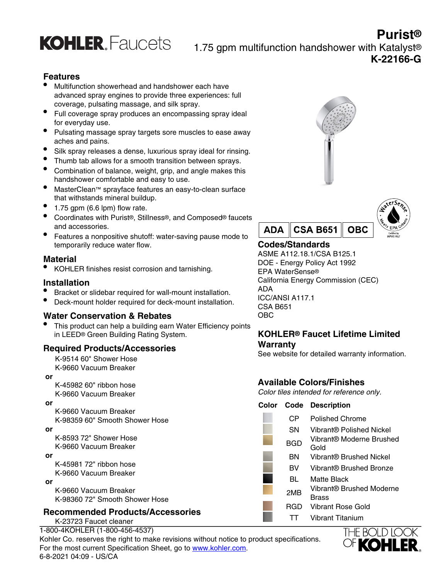

**Purist®** 1.75 gpm multifunction handshower with Katalyst® **K-22166-G**

# **Features**

- Multifunction showerhead and handshower each have advanced spray engines to provide three experiences: full coverage, pulsating massage, and silk spray.
- Full coverage spray produces an encompassing spray ideal for everyday use.
- Pulsating massage spray targets sore muscles to ease away aches and pains.
- Silk spray releases a dense, luxurious spray ideal for rinsing.
- Thumb tab allows for a smooth transition between sprays.
- Combination of balance, weight, grip, and angle makes this handshower comfortable and easy to use.
- MasterClean™ sprayface features an easy-to-clean surface that withstands mineral buildup.
- $\bullet$  1.75 gpm (6.6 lpm) flow rate.
- Coordinates with Purist®, Stillness®, and Composed® faucets and accessories.
- Features a nonpositive shutoff: water-saving pause mode to temporarily reduce water flow.

### **Material**

• KOHLER finishes resist corrosion and tarnishing.

### **Installation**

- Bracket or slidebar required for wall-mount installation.
- Deck-mount holder required for deck-mount installation.

### **Water Conservation & Rebates**

This product can help a building earn Water Efficiency points in LEED® Green Building Rating System.

### **Required Products/Accessories**

K-9514 60" Shower Hose K-9660 Vacuum Breaker

 **or**

K-45982 60" ribbon hose K-9660 Vacuum Breaker

 **or**

K-9660 Vacuum Breaker K-98359 60" Smooth Shower Hose

 **or**

K-8593 72" Shower Hose K-9660 Vacuum Breaker

 **or**

K-45981 72" ribbon hose K-9660 Vacuum Breaker

 **or**

K-9660 Vacuum Breaker K-98360 72" Smooth Shower Hose

# **Recommended Products/Accessories**

K-23723 Faucet cleaner

1-800-4KOHLER (1-800-456-4537) Kohler Co. reserves the right to make revisions without notice to product specifications. For the most current Specification Sheet, go to [www.kohler.com](http://www.kohler.com). 6-8-2021 04:09 - US/CA





# **Codes/Standards**

ASME A112.18.1/CSA B125.1 DOE - Energy Policy Act 1992 EPA WaterSense® California Energy Commission (CEC) ADA ICC/ANSI A117.1 CSA B651 OBC

# **KOHLER® Faucet Lifetime Limited Warranty**

See website for detailed warranty information.

# **Available Colors/Finishes**

Color tiles intended for reference only.

#### **Color Code Description**

| СP  | Polished Chrome                          |
|-----|------------------------------------------|
| SΝ  | Vibrant® Polished Nickel                 |
| BGD | Vibrant® Moderne Brushed<br>Gold         |
| ΒN  | Vibrant® Brushed Nickel                  |
| вv  | Vibrant® Brushed Bronze                  |
| BL  | Matte Black                              |
| 2MB | Vibrant® Brushed Moderne<br><b>Brass</b> |
| RGD | Vibrant Rose Gold                        |
|     | Vibrant Titanium                         |